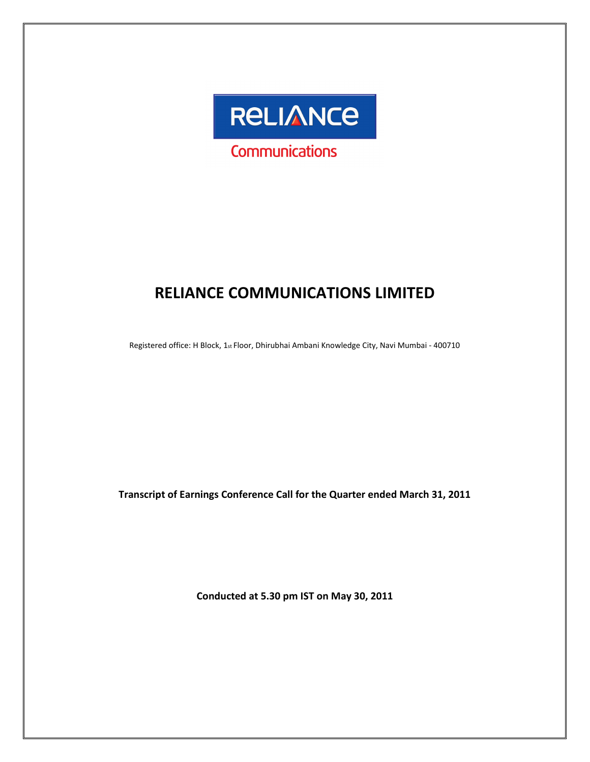

# RELIANCE COMMUNICATIONS LIMITED

Registered office: H Block, 1st Floor, Dhirubhai Ambani Knowledge City, Navi Mumbai - 400710

Transcript of Earnings Conference Call for the Quarter ended March 31, 2011

Conducted at 5.30 pm IST on May 30, 2011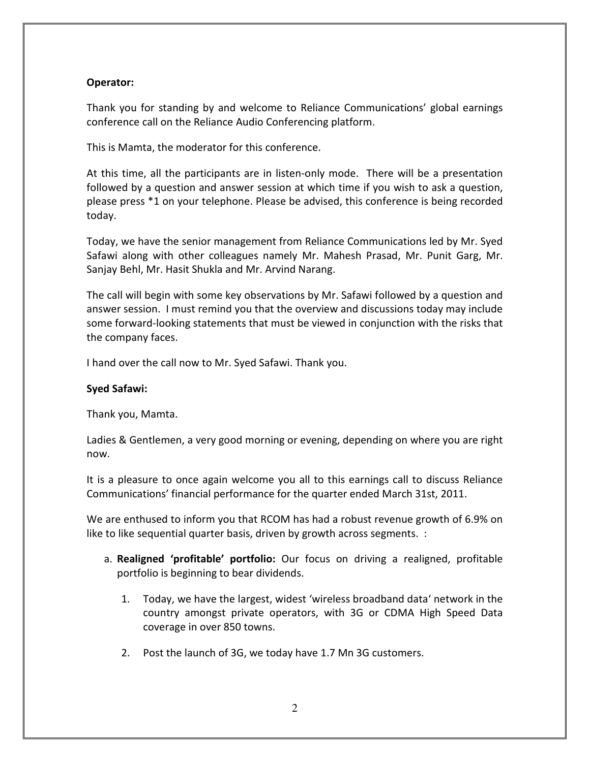# Operator:

Thank you for standing by and welcome to Reliance Communications' global earnings conference call on the Reliance Audio Conferencing platform.

This is Mamta, the moderator for this conference.

At this time, all the participants are in listen-only mode. There will be a presentation followed by a question and answer session at which time if you wish to ask a question, please press \*1 on your telephone. Please be advised, this conference is being recorded today.

Today, we have the senior management from Reliance Communications led by Mr. Syed Safawi along with other colleagues namely Mr. Mahesh Prasad, Mr. Punit Garg, Mr. Sanjay Behl, Mr. Hasit Shukla and Mr. Arvind Narang.

The call will begin with some key observations by Mr. Safawi followed by a question and answer session. I must remind you that the overview and discussions today may include some forward-looking statements that must be viewed in conjunction with the risks that the company faces.

I hand over the call now to Mr. Syed Safawi. Thank you.

### Syed Safawi:

Thank you, Mamta.

Ladies & Gentlemen, a very good morning or evening, depending on where you are right now.

It is a pleasure to once again welcome you all to this earnings call to discuss Reliance Communications' financial performance for the quarter ended March 31st, 2011.

We are enthused to inform you that RCOM has had a robust revenue growth of 6.9% on like to like sequential quarter basis, driven by growth across segments. :

- a. Realigned 'profitable' portfolio: Our focus on driving a realigned, profitable portfolio is beginning to bear dividends.
	- 1. Today, we have the largest, widest 'wireless broadband data' network in the country amongst private operators, with 3G or CDMA High Speed Data coverage in over 850 towns.
	- 2. Post the launch of 3G, we today have 1.7 Mn 3G customers.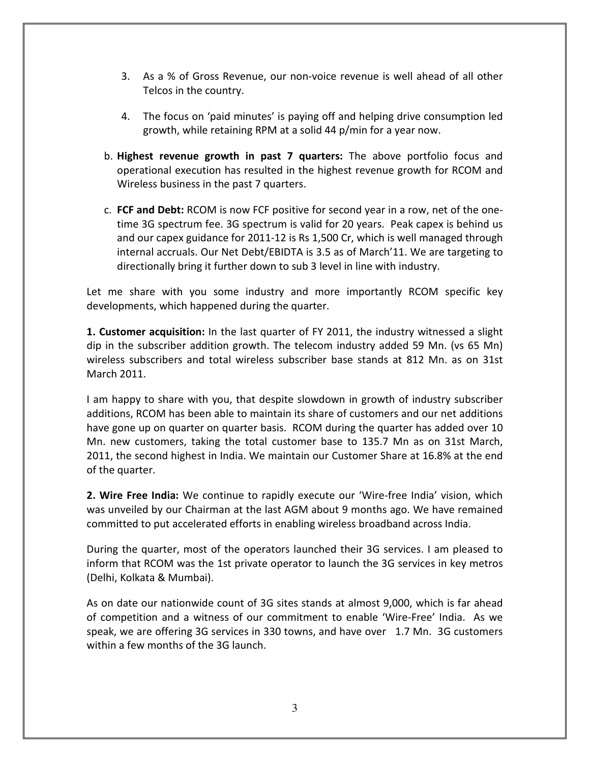- 3. As a % of Gross Revenue, our non-voice revenue is well ahead of all other Telcos in the country.
- 4. The focus on 'paid minutes' is paying off and helping drive consumption led growth, while retaining RPM at a solid 44 p/min for a year now.
- b. Highest revenue growth in past 7 quarters: The above portfolio focus and operational execution has resulted in the highest revenue growth for RCOM and Wireless business in the past 7 quarters.
- c. FCF and Debt: RCOM is now FCF positive for second year in a row, net of the onetime 3G spectrum fee. 3G spectrum is valid for 20 years. Peak capex is behind us and our capex guidance for 2011-12 is Rs 1,500 Cr, which is well managed through internal accruals. Our Net Debt/EBIDTA is 3.5 as of March'11. We are targeting to directionally bring it further down to sub 3 level in line with industry.

Let me share with you some industry and more importantly RCOM specific key developments, which happened during the quarter.

**1. Customer acquisition:** In the last quarter of FY 2011, the industry witnessed a slight dip in the subscriber addition growth. The telecom industry added 59 Mn. (vs 65 Mn) wireless subscribers and total wireless subscriber base stands at 812 Mn. as on 31st March 2011.

I am happy to share with you, that despite slowdown in growth of industry subscriber additions, RCOM has been able to maintain its share of customers and our net additions have gone up on quarter on quarter basis. RCOM during the quarter has added over 10 Mn. new customers, taking the total customer base to 135.7 Mn as on 31st March, 2011, the second highest in India. We maintain our Customer Share at 16.8% at the end of the quarter.

2. Wire Free India: We continue to rapidly execute our 'Wire-free India' vision, which was unveiled by our Chairman at the last AGM about 9 months ago. We have remained committed to put accelerated efforts in enabling wireless broadband across India.

During the quarter, most of the operators launched their 3G services. I am pleased to inform that RCOM was the 1st private operator to launch the 3G services in key metros (Delhi, Kolkata & Mumbai).

As on date our nationwide count of 3G sites stands at almost 9,000, which is far ahead of competition and a witness of our commitment to enable 'Wire-Free' India. As we speak, we are offering 3G services in 330 towns, and have over 1.7 Mn. 3G customers within a few months of the 3G launch.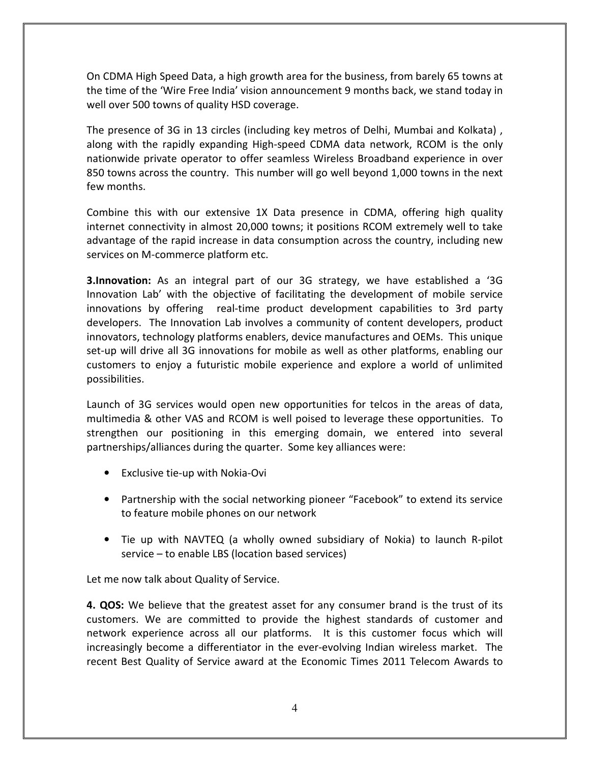On CDMA High Speed Data, a high growth area for the business, from barely 65 towns at the time of the 'Wire Free India' vision announcement 9 months back, we stand today in well over 500 towns of quality HSD coverage.

The presence of 3G in 13 circles (including key metros of Delhi, Mumbai and Kolkata) , along with the rapidly expanding High-speed CDMA data network, RCOM is the only nationwide private operator to offer seamless Wireless Broadband experience in over 850 towns across the country. This number will go well beyond 1,000 towns in the next few months.

Combine this with our extensive 1X Data presence in CDMA, offering high quality internet connectivity in almost 20,000 towns; it positions RCOM extremely well to take advantage of the rapid increase in data consumption across the country, including new services on M-commerce platform etc.

**3.Innovation:** As an integral part of our 3G strategy, we have established a '3G Innovation Lab' with the objective of facilitating the development of mobile service innovations by offering real-time product development capabilities to 3rd party developers. The Innovation Lab involves a community of content developers, product innovators, technology platforms enablers, device manufactures and OEMs. This unique set-up will drive all 3G innovations for mobile as well as other platforms, enabling our customers to enjoy a futuristic mobile experience and explore a world of unlimited possibilities.

Launch of 3G services would open new opportunities for telcos in the areas of data, multimedia & other VAS and RCOM is well poised to leverage these opportunities. To strengthen our positioning in this emerging domain, we entered into several partnerships/alliances during the quarter. Some key alliances were:

- Exclusive tie-up with Nokia-Ovi
- Partnership with the social networking pioneer "Facebook" to extend its service to feature mobile phones on our network
- Tie up with NAVTEQ (a wholly owned subsidiary of Nokia) to launch R-pilot service – to enable LBS (location based services)

Let me now talk about Quality of Service.

**4. QOS:** We believe that the greatest asset for any consumer brand is the trust of its customers. We are committed to provide the highest standards of customer and network experience across all our platforms. It is this customer focus which will increasingly become a differentiator in the ever-evolving Indian wireless market. The recent Best Quality of Service award at the Economic Times 2011 Telecom Awards to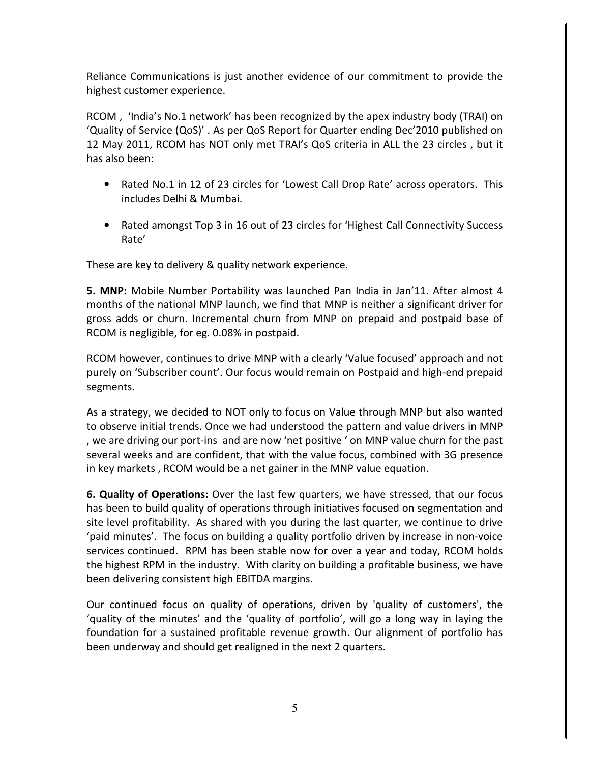Reliance Communications is just another evidence of our commitment to provide the highest customer experience.

RCOM , 'India's No.1 network' has been recognized by the apex industry body (TRAI) on 'Quality of Service (QoS)' . As per QoS Report for Quarter ending Dec'2010 published on 12 May 2011, RCOM has NOT only met TRAI's QoS criteria in ALL the 23 circles , but it has also been:

- Rated No.1 in 12 of 23 circles for 'Lowest Call Drop Rate' across operators. This includes Delhi & Mumbai.
- Rated amongst Top 3 in 16 out of 23 circles for 'Highest Call Connectivity Success Rate'

These are key to delivery & quality network experience.

5. MNP: Mobile Number Portability was launched Pan India in Jan'11. After almost 4 months of the national MNP launch, we find that MNP is neither a significant driver for gross adds or churn. Incremental churn from MNP on prepaid and postpaid base of RCOM is negligible, for eg. 0.08% in postpaid.

RCOM however, continues to drive MNP with a clearly 'Value focused' approach and not purely on 'Subscriber count'. Our focus would remain on Postpaid and high-end prepaid segments.

As a strategy, we decided to NOT only to focus on Value through MNP but also wanted to observe initial trends. Once we had understood the pattern and value drivers in MNP , we are driving our port-ins and are now 'net positive ' on MNP value churn for the past several weeks and are confident, that with the value focus, combined with 3G presence in key markets , RCOM would be a net gainer in the MNP value equation.

6. Quality of Operations: Over the last few quarters, we have stressed, that our focus has been to build quality of operations through initiatives focused on segmentation and site level profitability. As shared with you during the last quarter, we continue to drive 'paid minutes'. The focus on building a quality portfolio driven by increase in non-voice services continued. RPM has been stable now for over a year and today, RCOM holds the highest RPM in the industry. With clarity on building a profitable business, we have been delivering consistent high EBITDA margins.

Our continued focus on quality of operations, driven by 'quality of customers', the 'quality of the minutes' and the 'quality of portfolio', will go a long way in laying the foundation for a sustained profitable revenue growth. Our alignment of portfolio has been underway and should get realigned in the next 2 quarters.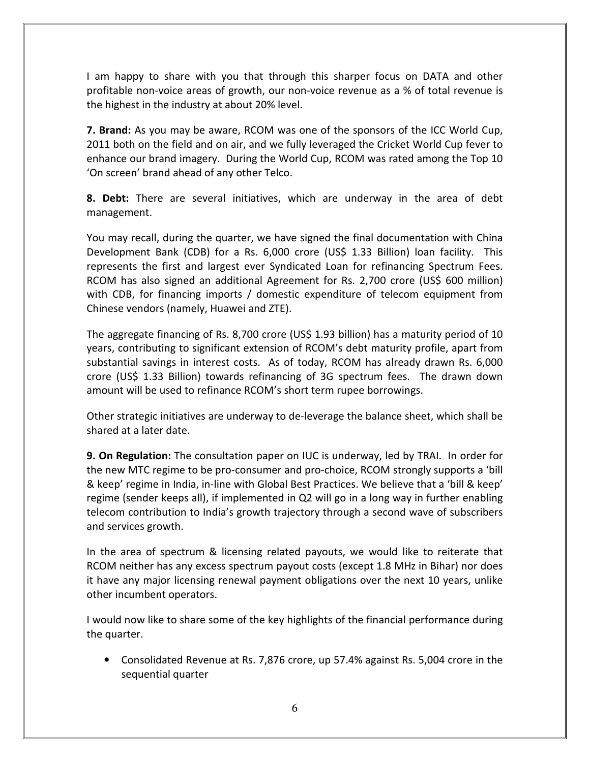I am happy to share with you that through this sharper focus on DATA and other profitable non-voice areas of growth, our non-voice revenue as a % of total revenue is the highest in the industry at about 20% level.

**7. Brand:** As you may be aware, RCOM was one of the sponsors of the ICC World Cup, 2011 both on the field and on air, and we fully leveraged the Cricket World Cup fever to enhance our brand imagery. During the World Cup, RCOM was rated among the Top 10 'On screen' brand ahead of any other Telco.

**8. Debt:** There are several initiatives, which are underway in the area of debt management.

You may recall, during the quarter, we have signed the final documentation with China Development Bank (CDB) for a Rs. 6,000 crore (US\$ 1.33 Billion) loan facility. This represents the first and largest ever Syndicated Loan for refinancing Spectrum Fees. RCOM has also signed an additional Agreement for Rs. 2,700 crore (US\$ 600 million) with CDB, for financing imports / domestic expenditure of telecom equipment from Chinese vendors (namely, Huawei and ZTE).

The aggregate financing of Rs. 8,700 crore (US\$ 1.93 billion) has a maturity period of 10 years, contributing to significant extension of RCOM's debt maturity profile, apart from substantial savings in interest costs. As of today, RCOM has already drawn Rs. 6,000 crore (US\$ 1.33 Billion) towards refinancing of 3G spectrum fees. The drawn down amount will be used to refinance RCOM's short term rupee borrowings.

Other strategic initiatives are underway to de-leverage the balance sheet, which shall be shared at a later date.

9. On Regulation: The consultation paper on IUC is underway, led by TRAI. In order for the new MTC regime to be pro-consumer and pro-choice, RCOM strongly supports a 'bill & keep' regime in India, in-line with Global Best Practices. We believe that a 'bill & keep' regime (sender keeps all), if implemented in Q2 will go in a long way in further enabling telecom contribution to India's growth trajectory through a second wave of subscribers and services growth.

In the area of spectrum & licensing related payouts, we would like to reiterate that RCOM neither has any excess spectrum payout costs (except 1.8 MHz in Bihar) nor does it have any major licensing renewal payment obligations over the next 10 years, unlike other incumbent operators.

I would now like to share some of the key highlights of the financial performance during the quarter.

• Consolidated Revenue at Rs. 7,876 crore, up 57.4% against Rs. 5,004 crore in the sequential quarter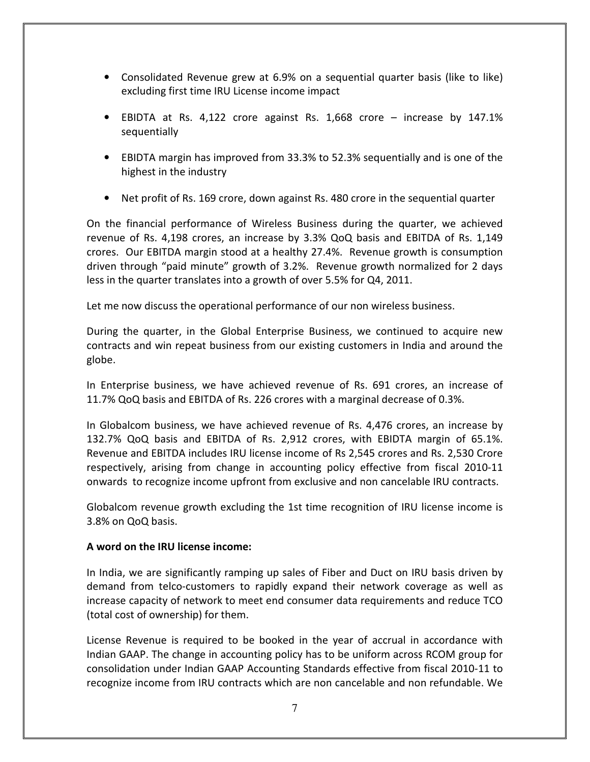- Consolidated Revenue grew at 6.9% on a sequential quarter basis (like to like) excluding first time IRU License income impact
- EBIDTA at Rs. 4,122 crore against Rs. 1,668 crore increase by 147.1% sequentially
- EBIDTA margin has improved from 33.3% to 52.3% sequentially and is one of the highest in the industry
- Net profit of Rs. 169 crore, down against Rs. 480 crore in the sequential quarter

On the financial performance of Wireless Business during the quarter, we achieved revenue of Rs. 4,198 crores, an increase by 3.3% QoQ basis and EBITDA of Rs. 1,149 crores. Our EBITDA margin stood at a healthy 27.4%. Revenue growth is consumption driven through "paid minute" growth of 3.2%. Revenue growth normalized for 2 days less in the quarter translates into a growth of over 5.5% for Q4, 2011.

Let me now discuss the operational performance of our non wireless business.

During the quarter, in the Global Enterprise Business, we continued to acquire new contracts and win repeat business from our existing customers in India and around the globe.

In Enterprise business, we have achieved revenue of Rs. 691 crores, an increase of 11.7% QoQ basis and EBITDA of Rs. 226 crores with a marginal decrease of 0.3%.

In Globalcom business, we have achieved revenue of Rs. 4,476 crores, an increase by 132.7% QoQ basis and EBITDA of Rs. 2,912 crores, with EBIDTA margin of 65.1%. Revenue and EBITDA includes IRU license income of Rs 2,545 crores and Rs. 2,530 Crore respectively, arising from change in accounting policy effective from fiscal 2010-11 onwards to recognize income upfront from exclusive and non cancelable IRU contracts.

Globalcom revenue growth excluding the 1st time recognition of IRU license income is 3.8% on QoQ basis.

# A word on the IRU license income:

In India, we are significantly ramping up sales of Fiber and Duct on IRU basis driven by demand from telco-customers to rapidly expand their network coverage as well as increase capacity of network to meet end consumer data requirements and reduce TCO (total cost of ownership) for them.

License Revenue is required to be booked in the year of accrual in accordance with Indian GAAP. The change in accounting policy has to be uniform across RCOM group for consolidation under Indian GAAP Accounting Standards effective from fiscal 2010-11 to recognize income from IRU contracts which are non cancelable and non refundable. We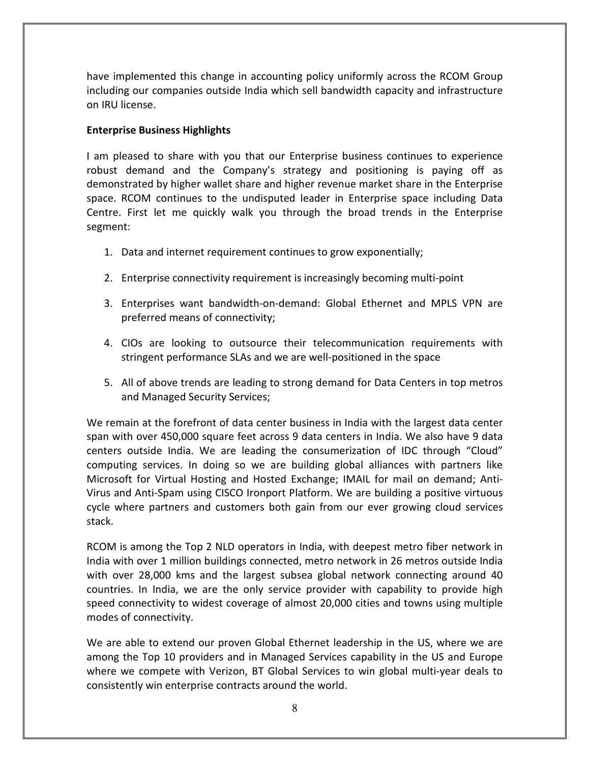have implemented this change in accounting policy uniformly across the RCOM Group including our companies outside India which sell bandwidth capacity and infrastructure on IRU license.

# Enterprise Business Highlights

I am pleased to share with you that our Enterprise business continues to experience robust demand and the Company's strategy and positioning is paying off as demonstrated by higher wallet share and higher revenue market share in the Enterprise space. RCOM continues to the undisputed leader in Enterprise space including Data Centre. First let me quickly walk you through the broad trends in the Enterprise segment:

- 1. Data and internet requirement continues to grow exponentially;
- 2. Enterprise connectivity requirement is increasingly becoming multi-point
- 3. Enterprises want bandwidth-on-demand: Global Ethernet and MPLS VPN are preferred means of connectivity;
- 4. CIOs are looking to outsource their telecommunication requirements with stringent performance SLAs and we are well-positioned in the space
- 5. All of above trends are leading to strong demand for Data Centers in top metros and Managed Security Services;

We remain at the forefront of data center business in India with the largest data center span with over 450,000 square feet across 9 data centers in India. We also have 9 data centers outside India. We are leading the consumerization of IDC through "Cloud" computing services. In doing so we are building global alliances with partners like Microsoft for Virtual Hosting and Hosted Exchange; IMAIL for mail on demand; Anti-Virus and Anti-Spam using CISCO Ironport Platform. We are building a positive virtuous cycle where partners and customers both gain from our ever growing cloud services stack.

RCOM is among the Top 2 NLD operators in India, with deepest metro fiber network in India with over 1 million buildings connected, metro network in 26 metros outside India with over 28,000 kms and the largest subsea global network connecting around 40 countries. In India, we are the only service provider with capability to provide high speed connectivity to widest coverage of almost 20,000 cities and towns using multiple modes of connectivity.

We are able to extend our proven Global Ethernet leadership in the US, where we are among the Top 10 providers and in Managed Services capability in the US and Europe where we compete with Verizon, BT Global Services to win global multi-year deals to consistently win enterprise contracts around the world.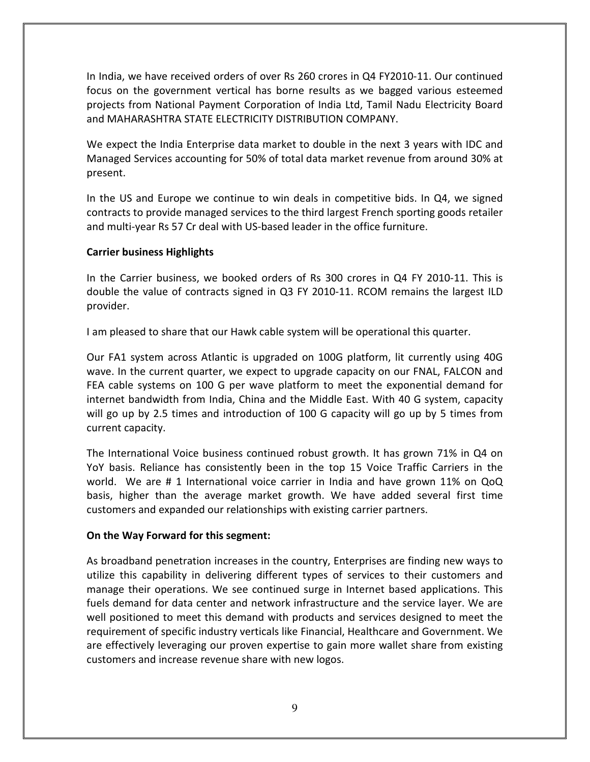In India, we have received orders of over Rs 260 crores in Q4 FY2010-11. Our continued focus on the government vertical has borne results as we bagged various esteemed projects from National Payment Corporation of India Ltd, Tamil Nadu Electricity Board and MAHARASHTRA STATE ELECTRICITY DISTRIBUTION COMPANY.

We expect the India Enterprise data market to double in the next 3 years with IDC and Managed Services accounting for 50% of total data market revenue from around 30% at present.

In the US and Europe we continue to win deals in competitive bids. In Q4, we signed contracts to provide managed services to the third largest French sporting goods retailer and multi-year Rs 57 Cr deal with US-based leader in the office furniture.

# Carrier business Highlights

In the Carrier business, we booked orders of Rs 300 crores in Q4 FY 2010-11. This is double the value of contracts signed in Q3 FY 2010-11. RCOM remains the largest ILD provider.

I am pleased to share that our Hawk cable system will be operational this quarter.

Our FA1 system across Atlantic is upgraded on 100G platform, lit currently using 40G wave. In the current quarter, we expect to upgrade capacity on our FNAL, FALCON and FEA cable systems on 100 G per wave platform to meet the exponential demand for internet bandwidth from India, China and the Middle East. With 40 G system, capacity will go up by 2.5 times and introduction of 100 G capacity will go up by 5 times from current capacity.

The International Voice business continued robust growth. It has grown 71% in Q4 on YoY basis. Reliance has consistently been in the top 15 Voice Traffic Carriers in the world. We are # 1 International voice carrier in India and have grown 11% on QoQ basis, higher than the average market growth. We have added several first time customers and expanded our relationships with existing carrier partners.

# On the Way Forward for this segment:

As broadband penetration increases in the country, Enterprises are finding new ways to utilize this capability in delivering different types of services to their customers and manage their operations. We see continued surge in Internet based applications. This fuels demand for data center and network infrastructure and the service layer. We are well positioned to meet this demand with products and services designed to meet the requirement of specific industry verticals like Financial, Healthcare and Government. We are effectively leveraging our proven expertise to gain more wallet share from existing customers and increase revenue share with new logos.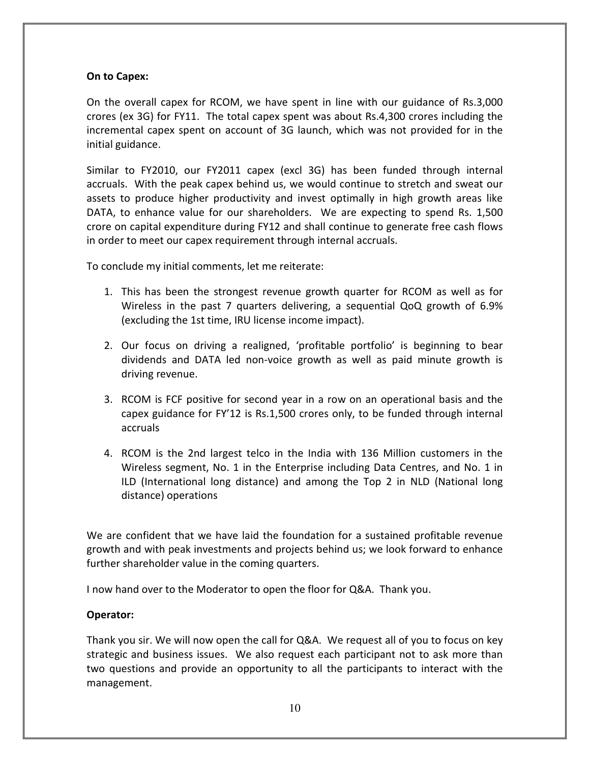### On to Capex:

On the overall capex for RCOM, we have spent in line with our guidance of Rs.3,000 crores (ex 3G) for FY11. The total capex spent was about Rs.4,300 crores including the incremental capex spent on account of 3G launch, which was not provided for in the initial guidance.

Similar to FY2010, our FY2011 capex (excl 3G) has been funded through internal accruals. With the peak capex behind us, we would continue to stretch and sweat our assets to produce higher productivity and invest optimally in high growth areas like DATA, to enhance value for our shareholders. We are expecting to spend Rs. 1,500 crore on capital expenditure during FY12 and shall continue to generate free cash flows in order to meet our capex requirement through internal accruals.

To conclude my initial comments, let me reiterate:

- 1. This has been the strongest revenue growth quarter for RCOM as well as for Wireless in the past 7 quarters delivering, a sequential QoQ growth of 6.9% (excluding the 1st time, IRU license income impact).
- 2. Our focus on driving a realigned, 'profitable portfolio' is beginning to bear dividends and DATA led non-voice growth as well as paid minute growth is driving revenue.
- 3. RCOM is FCF positive for second year in a row on an operational basis and the capex guidance for FY'12 is Rs.1,500 crores only, to be funded through internal accruals
- 4. RCOM is the 2nd largest telco in the India with 136 Million customers in the Wireless segment, No. 1 in the Enterprise including Data Centres, and No. 1 in ILD (International long distance) and among the Top 2 in NLD (National long distance) operations

We are confident that we have laid the foundation for a sustained profitable revenue growth and with peak investments and projects behind us; we look forward to enhance further shareholder value in the coming quarters.

I now hand over to the Moderator to open the floor for Q&A. Thank you.

# Operator:

Thank you sir. We will now open the call for Q&A. We request all of you to focus on key strategic and business issues. We also request each participant not to ask more than two questions and provide an opportunity to all the participants to interact with the management.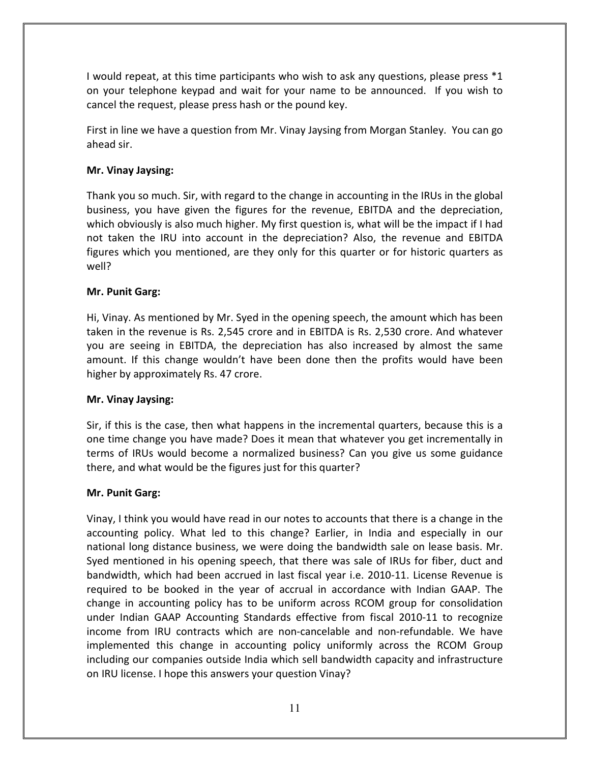I would repeat, at this time participants who wish to ask any questions, please press \*1 on your telephone keypad and wait for your name to be announced. If you wish to cancel the request, please press hash or the pound key.

First in line we have a question from Mr. Vinay Jaysing from Morgan Stanley. You can go ahead sir.

# Mr. Vinay Jaysing:

Thank you so much. Sir, with regard to the change in accounting in the IRUs in the global business, you have given the figures for the revenue, EBITDA and the depreciation, which obviously is also much higher. My first question is, what will be the impact if I had not taken the IRU into account in the depreciation? Also, the revenue and EBITDA figures which you mentioned, are they only for this quarter or for historic quarters as well?

# Mr. Punit Garg:

Hi, Vinay. As mentioned by Mr. Syed in the opening speech, the amount which has been taken in the revenue is Rs. 2,545 crore and in EBITDA is Rs. 2,530 crore. And whatever you are seeing in EBITDA, the depreciation has also increased by almost the same amount. If this change wouldn't have been done then the profits would have been higher by approximately Rs. 47 crore.

# Mr. Vinay Jaysing:

Sir, if this is the case, then what happens in the incremental quarters, because this is a one time change you have made? Does it mean that whatever you get incrementally in terms of IRUs would become a normalized business? Can you give us some guidance there, and what would be the figures just for this quarter?

# Mr. Punit Garg:

Vinay, I think you would have read in our notes to accounts that there is a change in the accounting policy. What led to this change? Earlier, in India and especially in our national long distance business, we were doing the bandwidth sale on lease basis. Mr. Syed mentioned in his opening speech, that there was sale of IRUs for fiber, duct and bandwidth, which had been accrued in last fiscal year i.e. 2010-11. License Revenue is required to be booked in the year of accrual in accordance with Indian GAAP. The change in accounting policy has to be uniform across RCOM group for consolidation under Indian GAAP Accounting Standards effective from fiscal 2010-11 to recognize income from IRU contracts which are non-cancelable and non-refundable. We have implemented this change in accounting policy uniformly across the RCOM Group including our companies outside India which sell bandwidth capacity and infrastructure on IRU license. I hope this answers your question Vinay?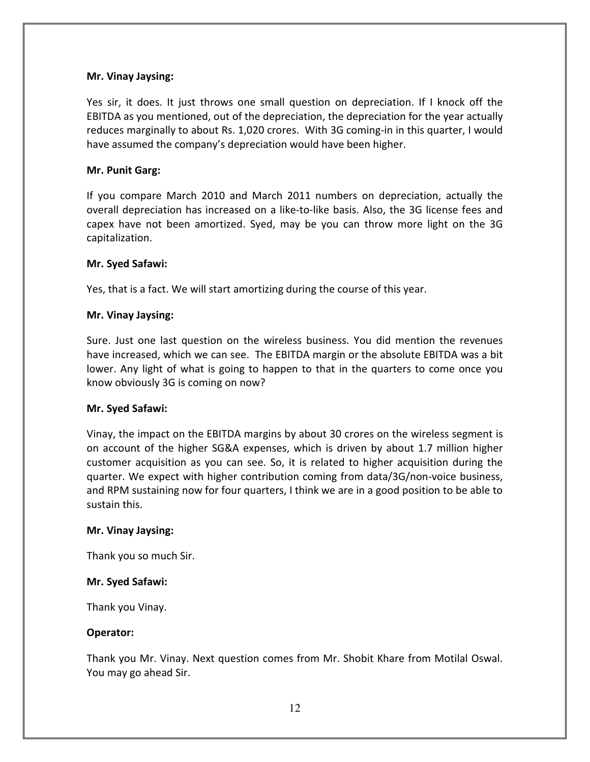### Mr. Vinay Jaysing:

Yes sir, it does. It just throws one small question on depreciation. If I knock off the EBITDA as you mentioned, out of the depreciation, the depreciation for the year actually reduces marginally to about Rs. 1,020 crores. With 3G coming-in in this quarter, I would have assumed the company's depreciation would have been higher.

### Mr. Punit Garg:

If you compare March 2010 and March 2011 numbers on depreciation, actually the overall depreciation has increased on a like-to-like basis. Also, the 3G license fees and capex have not been amortized. Syed, may be you can throw more light on the 3G capitalization.

### Mr. Syed Safawi:

Yes, that is a fact. We will start amortizing during the course of this year.

### Mr. Vinay Jaysing:

Sure. Just one last question on the wireless business. You did mention the revenues have increased, which we can see. The EBITDA margin or the absolute EBITDA was a bit lower. Any light of what is going to happen to that in the quarters to come once you know obviously 3G is coming on now?

#### Mr. Syed Safawi:

Vinay, the impact on the EBITDA margins by about 30 crores on the wireless segment is on account of the higher SG&A expenses, which is driven by about 1.7 million higher customer acquisition as you can see. So, it is related to higher acquisition during the quarter. We expect with higher contribution coming from data/3G/non-voice business, and RPM sustaining now for four quarters, I think we are in a good position to be able to sustain this.

#### Mr. Vinay Jaysing:

Thank you so much Sir.

#### Mr. Syed Safawi:

Thank you Vinay.

#### Operator:

Thank you Mr. Vinay. Next question comes from Mr. Shobit Khare from Motilal Oswal. You may go ahead Sir.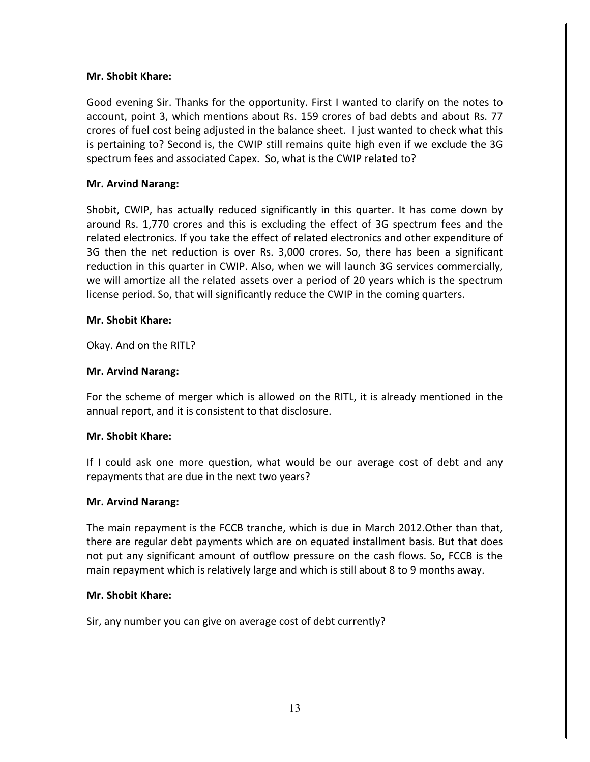### Mr. Shobit Khare:

Good evening Sir. Thanks for the opportunity. First I wanted to clarify on the notes to account, point 3, which mentions about Rs. 159 crores of bad debts and about Rs. 77 crores of fuel cost being adjusted in the balance sheet. I just wanted to check what this is pertaining to? Second is, the CWIP still remains quite high even if we exclude the 3G spectrum fees and associated Capex. So, what is the CWIP related to?

### Mr. Arvind Narang:

Shobit, CWIP, has actually reduced significantly in this quarter. It has come down by around Rs. 1,770 crores and this is excluding the effect of 3G spectrum fees and the related electronics. If you take the effect of related electronics and other expenditure of 3G then the net reduction is over Rs. 3,000 crores. So, there has been a significant reduction in this quarter in CWIP. Also, when we will launch 3G services commercially, we will amortize all the related assets over a period of 20 years which is the spectrum license period. So, that will significantly reduce the CWIP in the coming quarters.

### Mr. Shobit Khare:

Okay. And on the RITL?

### Mr. Arvind Narang:

For the scheme of merger which is allowed on the RITL, it is already mentioned in the annual report, and it is consistent to that disclosure.

### Mr. Shobit Khare:

If I could ask one more question, what would be our average cost of debt and any repayments that are due in the next two years?

#### Mr. Arvind Narang:

The main repayment is the FCCB tranche, which is due in March 2012.Other than that, there are regular debt payments which are on equated installment basis. But that does not put any significant amount of outflow pressure on the cash flows. So, FCCB is the main repayment which is relatively large and which is still about 8 to 9 months away.

#### Mr. Shobit Khare:

Sir, any number you can give on average cost of debt currently?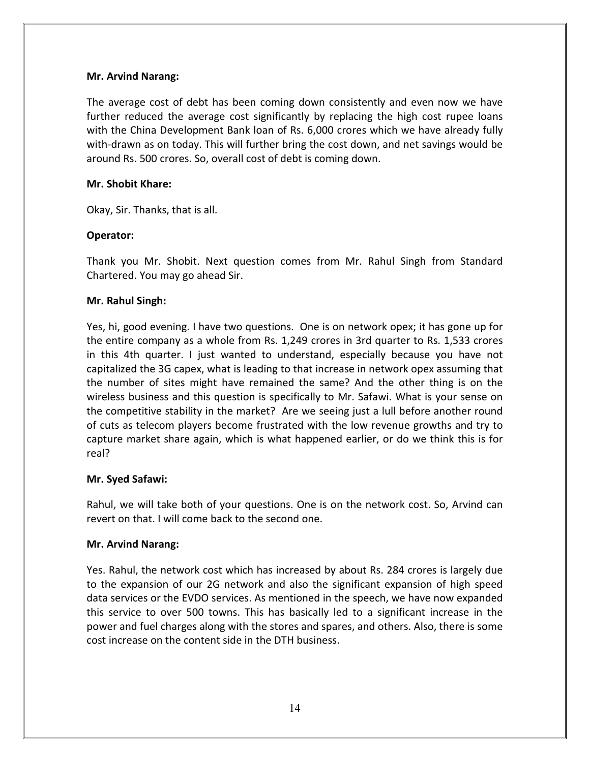# Mr. Arvind Narang:

The average cost of debt has been coming down consistently and even now we have further reduced the average cost significantly by replacing the high cost rupee loans with the China Development Bank loan of Rs. 6,000 crores which we have already fully with-drawn as on today. This will further bring the cost down, and net savings would be around Rs. 500 crores. So, overall cost of debt is coming down.

# Mr. Shobit Khare:

Okay, Sir. Thanks, that is all.

# Operator:

Thank you Mr. Shobit. Next question comes from Mr. Rahul Singh from Standard Chartered. You may go ahead Sir.

# Mr. Rahul Singh:

Yes, hi, good evening. I have two questions. One is on network opex; it has gone up for the entire company as a whole from Rs. 1,249 crores in 3rd quarter to Rs. 1,533 crores in this 4th quarter. I just wanted to understand, especially because you have not capitalized the 3G capex, what is leading to that increase in network opex assuming that the number of sites might have remained the same? And the other thing is on the wireless business and this question is specifically to Mr. Safawi. What is your sense on the competitive stability in the market? Are we seeing just a lull before another round of cuts as telecom players become frustrated with the low revenue growths and try to capture market share again, which is what happened earlier, or do we think this is for real?

### Mr. Syed Safawi:

Rahul, we will take both of your questions. One is on the network cost. So, Arvind can revert on that. I will come back to the second one.

### Mr. Arvind Narang:

Yes. Rahul, the network cost which has increased by about Rs. 284 crores is largely due to the expansion of our 2G network and also the significant expansion of high speed data services or the EVDO services. As mentioned in the speech, we have now expanded this service to over 500 towns. This has basically led to a significant increase in the power and fuel charges along with the stores and spares, and others. Also, there is some cost increase on the content side in the DTH business.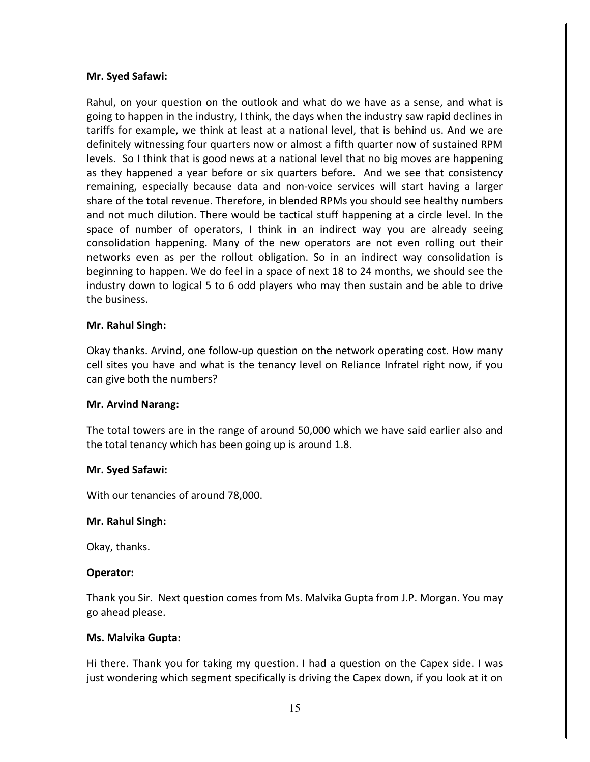### Mr. Syed Safawi:

Rahul, on your question on the outlook and what do we have as a sense, and what is going to happen in the industry, I think, the days when the industry saw rapid declines in tariffs for example, we think at least at a national level, that is behind us. And we are definitely witnessing four quarters now or almost a fifth quarter now of sustained RPM levels. So I think that is good news at a national level that no big moves are happening as they happened a year before or six quarters before. And we see that consistency remaining, especially because data and non-voice services will start having a larger share of the total revenue. Therefore, in blended RPMs you should see healthy numbers and not much dilution. There would be tactical stuff happening at a circle level. In the space of number of operators, I think in an indirect way you are already seeing consolidation happening. Many of the new operators are not even rolling out their networks even as per the rollout obligation. So in an indirect way consolidation is beginning to happen. We do feel in a space of next 18 to 24 months, we should see the industry down to logical 5 to 6 odd players who may then sustain and be able to drive the business.

### Mr. Rahul Singh:

Okay thanks. Arvind, one follow-up question on the network operating cost. How many cell sites you have and what is the tenancy level on Reliance Infratel right now, if you can give both the numbers?

### Mr. Arvind Narang:

The total towers are in the range of around 50,000 which we have said earlier also and the total tenancy which has been going up is around 1.8.

#### Mr. Syed Safawi:

With our tenancies of around 78,000.

### Mr. Rahul Singh:

Okay, thanks.

#### Operator:

Thank you Sir. Next question comes from Ms. Malvika Gupta from J.P. Morgan. You may go ahead please.

#### Ms. Malvika Gupta:

Hi there. Thank you for taking my question. I had a question on the Capex side. I was just wondering which segment specifically is driving the Capex down, if you look at it on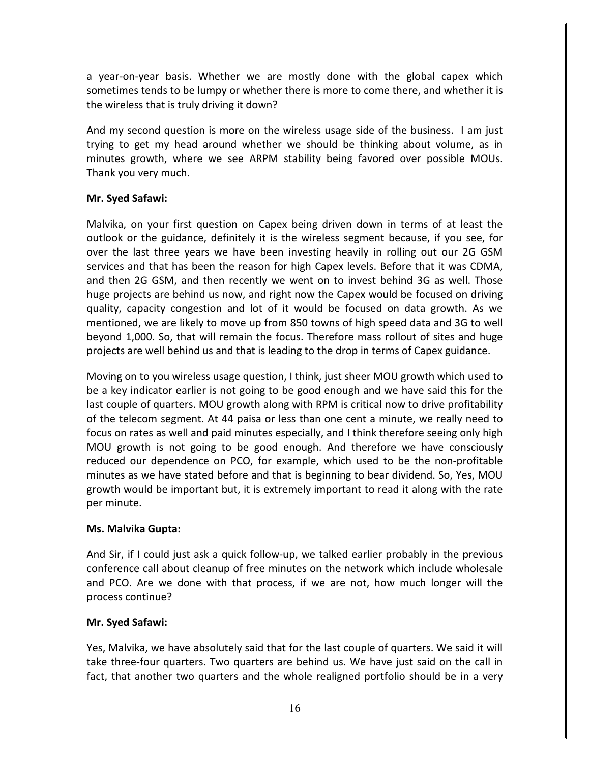a year-on-year basis. Whether we are mostly done with the global capex which sometimes tends to be lumpy or whether there is more to come there, and whether it is the wireless that is truly driving it down?

And my second question is more on the wireless usage side of the business. I am just trying to get my head around whether we should be thinking about volume, as in minutes growth, where we see ARPM stability being favored over possible MOUs. Thank you very much.

# Mr. Syed Safawi:

Malvika, on your first question on Capex being driven down in terms of at least the outlook or the guidance, definitely it is the wireless segment because, if you see, for over the last three years we have been investing heavily in rolling out our 2G GSM services and that has been the reason for high Capex levels. Before that it was CDMA, and then 2G GSM, and then recently we went on to invest behind 3G as well. Those huge projects are behind us now, and right now the Capex would be focused on driving quality, capacity congestion and lot of it would be focused on data growth. As we mentioned, we are likely to move up from 850 towns of high speed data and 3G to well beyond 1,000. So, that will remain the focus. Therefore mass rollout of sites and huge projects are well behind us and that is leading to the drop in terms of Capex guidance.

Moving on to you wireless usage question, I think, just sheer MOU growth which used to be a key indicator earlier is not going to be good enough and we have said this for the last couple of quarters. MOU growth along with RPM is critical now to drive profitability of the telecom segment. At 44 paisa or less than one cent a minute, we really need to focus on rates as well and paid minutes especially, and I think therefore seeing only high MOU growth is not going to be good enough. And therefore we have consciously reduced our dependence on PCO, for example, which used to be the non-profitable minutes as we have stated before and that is beginning to bear dividend. So, Yes, MOU growth would be important but, it is extremely important to read it along with the rate per minute.

### Ms. Malvika Gupta:

And Sir, if I could just ask a quick follow-up, we talked earlier probably in the previous conference call about cleanup of free minutes on the network which include wholesale and PCO. Are we done with that process, if we are not, how much longer will the process continue?

### Mr. Syed Safawi:

Yes, Malvika, we have absolutely said that for the last couple of quarters. We said it will take three-four quarters. Two quarters are behind us. We have just said on the call in fact, that another two quarters and the whole realigned portfolio should be in a very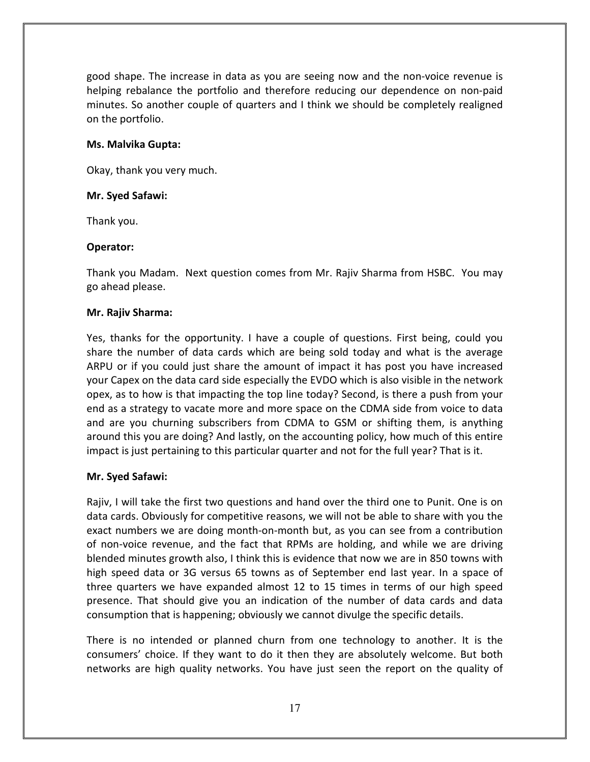good shape. The increase in data as you are seeing now and the non-voice revenue is helping rebalance the portfolio and therefore reducing our dependence on non-paid minutes. So another couple of quarters and I think we should be completely realigned on the portfolio.

# Ms. Malvika Gupta:

Okay, thank you very much.

# Mr. Syed Safawi:

Thank you.

# Operator:

Thank you Madam. Next question comes from Mr. Rajiv Sharma from HSBC. You may go ahead please.

# Mr. Rajiv Sharma:

Yes, thanks for the opportunity. I have a couple of questions. First being, could you share the number of data cards which are being sold today and what is the average ARPU or if you could just share the amount of impact it has post you have increased your Capex on the data card side especially the EVDO which is also visible in the network opex, as to how is that impacting the top line today? Second, is there a push from your end as a strategy to vacate more and more space on the CDMA side from voice to data and are you churning subscribers from CDMA to GSM or shifting them, is anything around this you are doing? And lastly, on the accounting policy, how much of this entire impact is just pertaining to this particular quarter and not for the full year? That is it.

# Mr. Syed Safawi:

Rajiv, I will take the first two questions and hand over the third one to Punit. One is on data cards. Obviously for competitive reasons, we will not be able to share with you the exact numbers we are doing month-on-month but, as you can see from a contribution of non-voice revenue, and the fact that RPMs are holding, and while we are driving blended minutes growth also, I think this is evidence that now we are in 850 towns with high speed data or 3G versus 65 towns as of September end last year. In a space of three quarters we have expanded almost 12 to 15 times in terms of our high speed presence. That should give you an indication of the number of data cards and data consumption that is happening; obviously we cannot divulge the specific details.

There is no intended or planned churn from one technology to another. It is the consumers' choice. If they want to do it then they are absolutely welcome. But both networks are high quality networks. You have just seen the report on the quality of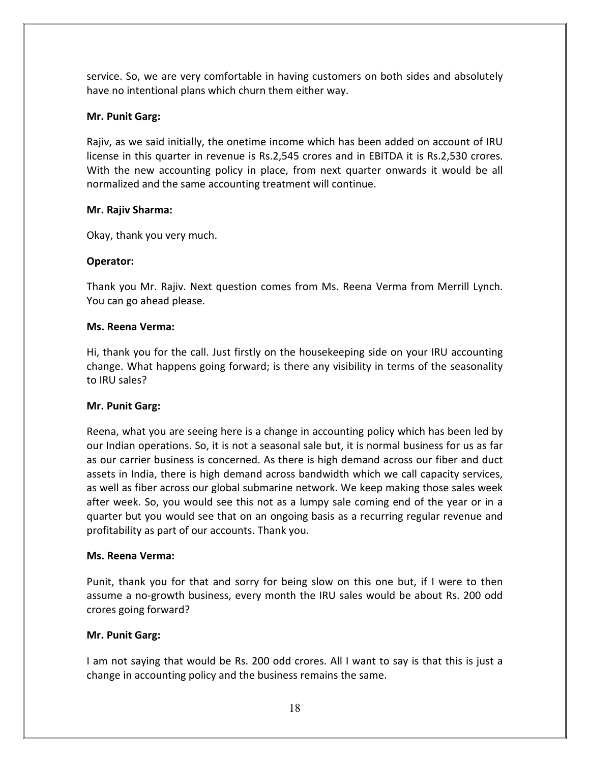service. So, we are very comfortable in having customers on both sides and absolutely have no intentional plans which churn them either way.

# Mr. Punit Garg:

Rajiv, as we said initially, the onetime income which has been added on account of IRU license in this quarter in revenue is Rs.2,545 crores and in EBITDA it is Rs.2,530 crores. With the new accounting policy in place, from next quarter onwards it would be all normalized and the same accounting treatment will continue.

# Mr. Rajiv Sharma:

Okay, thank you very much.

# Operator:

Thank you Mr. Rajiv. Next question comes from Ms. Reena Verma from Merrill Lynch. You can go ahead please.

# Ms. Reena Verma:

Hi, thank you for the call. Just firstly on the housekeeping side on your IRU accounting change. What happens going forward; is there any visibility in terms of the seasonality to IRU sales?

# Mr. Punit Garg:

Reena, what you are seeing here is a change in accounting policy which has been led by our Indian operations. So, it is not a seasonal sale but, it is normal business for us as far as our carrier business is concerned. As there is high demand across our fiber and duct assets in India, there is high demand across bandwidth which we call capacity services, as well as fiber across our global submarine network. We keep making those sales week after week. So, you would see this not as a lumpy sale coming end of the year or in a quarter but you would see that on an ongoing basis as a recurring regular revenue and profitability as part of our accounts. Thank you.

# Ms. Reena Verma:

Punit, thank you for that and sorry for being slow on this one but, if I were to then assume a no-growth business, every month the IRU sales would be about Rs. 200 odd crores going forward?

# Mr. Punit Garg:

I am not saying that would be Rs. 200 odd crores. All I want to say is that this is just a change in accounting policy and the business remains the same.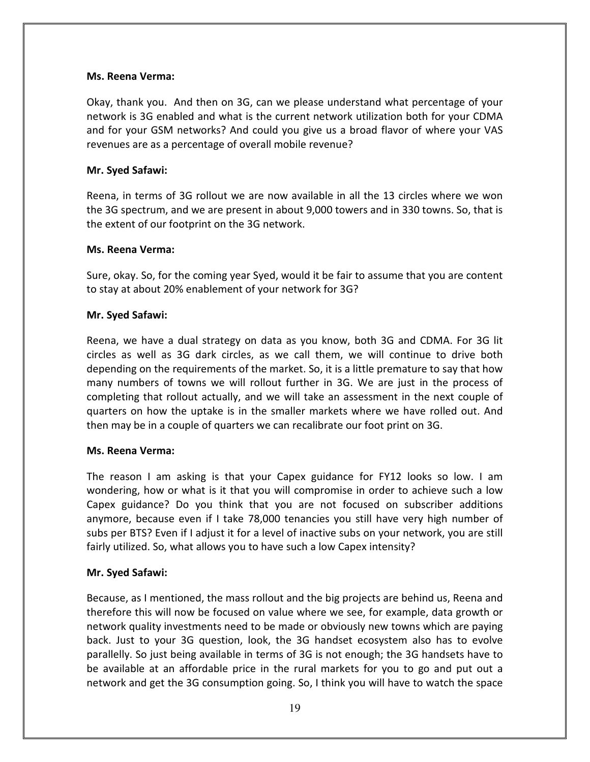### Ms. Reena Verma:

Okay, thank you. And then on 3G, can we please understand what percentage of your network is 3G enabled and what is the current network utilization both for your CDMA and for your GSM networks? And could you give us a broad flavor of where your VAS revenues are as a percentage of overall mobile revenue?

### Mr. Syed Safawi:

Reena, in terms of 3G rollout we are now available in all the 13 circles where we won the 3G spectrum, and we are present in about 9,000 towers and in 330 towns. So, that is the extent of our footprint on the 3G network.

### Ms. Reena Verma:

Sure, okay. So, for the coming year Syed, would it be fair to assume that you are content to stay at about 20% enablement of your network for 3G?

### Mr. Syed Safawi:

Reena, we have a dual strategy on data as you know, both 3G and CDMA. For 3G lit circles as well as 3G dark circles, as we call them, we will continue to drive both depending on the requirements of the market. So, it is a little premature to say that how many numbers of towns we will rollout further in 3G. We are just in the process of completing that rollout actually, and we will take an assessment in the next couple of quarters on how the uptake is in the smaller markets where we have rolled out. And then may be in a couple of quarters we can recalibrate our foot print on 3G.

#### Ms. Reena Verma:

The reason I am asking is that your Capex guidance for FY12 looks so low. I am wondering, how or what is it that you will compromise in order to achieve such a low Capex guidance? Do you think that you are not focused on subscriber additions anymore, because even if I take 78,000 tenancies you still have very high number of subs per BTS? Even if I adjust it for a level of inactive subs on your network, you are still fairly utilized. So, what allows you to have such a low Capex intensity?

#### Mr. Syed Safawi:

Because, as I mentioned, the mass rollout and the big projects are behind us, Reena and therefore this will now be focused on value where we see, for example, data growth or network quality investments need to be made or obviously new towns which are paying back. Just to your 3G question, look, the 3G handset ecosystem also has to evolve parallelly. So just being available in terms of 3G is not enough; the 3G handsets have to be available at an affordable price in the rural markets for you to go and put out a network and get the 3G consumption going. So, I think you will have to watch the space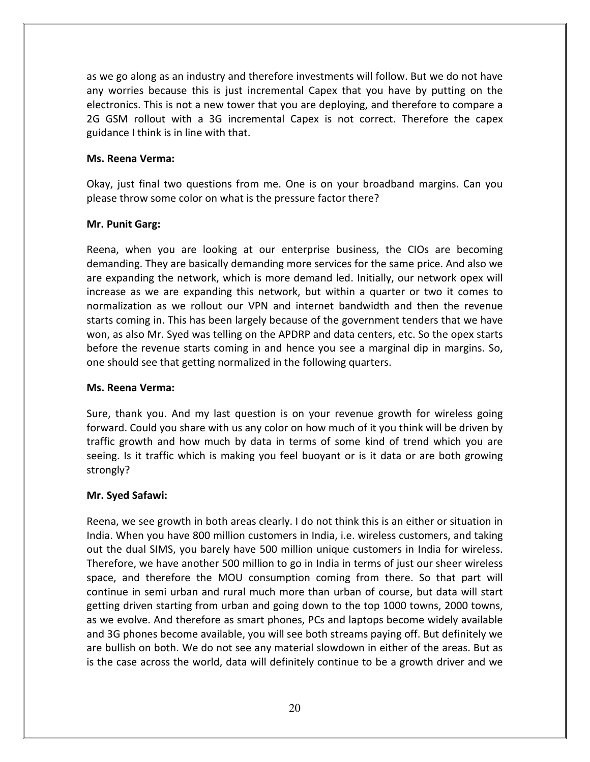as we go along as an industry and therefore investments will follow. But we do not have any worries because this is just incremental Capex that you have by putting on the electronics. This is not a new tower that you are deploying, and therefore to compare a 2G GSM rollout with a 3G incremental Capex is not correct. Therefore the capex guidance I think is in line with that.

# Ms. Reena Verma:

Okay, just final two questions from me. One is on your broadband margins. Can you please throw some color on what is the pressure factor there?

# Mr. Punit Garg:

Reena, when you are looking at our enterprise business, the CIOs are becoming demanding. They are basically demanding more services for the same price. And also we are expanding the network, which is more demand led. Initially, our network opex will increase as we are expanding this network, but within a quarter or two it comes to normalization as we rollout our VPN and internet bandwidth and then the revenue starts coming in. This has been largely because of the government tenders that we have won, as also Mr. Syed was telling on the APDRP and data centers, etc. So the opex starts before the revenue starts coming in and hence you see a marginal dip in margins. So, one should see that getting normalized in the following quarters.

### Ms. Reena Verma:

Sure, thank you. And my last question is on your revenue growth for wireless going forward. Could you share with us any color on how much of it you think will be driven by traffic growth and how much by data in terms of some kind of trend which you are seeing. Is it traffic which is making you feel buoyant or is it data or are both growing strongly?

### Mr. Syed Safawi:

Reena, we see growth in both areas clearly. I do not think this is an either or situation in India. When you have 800 million customers in India, i.e. wireless customers, and taking out the dual SIMS, you barely have 500 million unique customers in India for wireless. Therefore, we have another 500 million to go in India in terms of just our sheer wireless space, and therefore the MOU consumption coming from there. So that part will continue in semi urban and rural much more than urban of course, but data will start getting driven starting from urban and going down to the top 1000 towns, 2000 towns, as we evolve. And therefore as smart phones, PCs and laptops become widely available and 3G phones become available, you will see both streams paying off. But definitely we are bullish on both. We do not see any material slowdown in either of the areas. But as is the case across the world, data will definitely continue to be a growth driver and we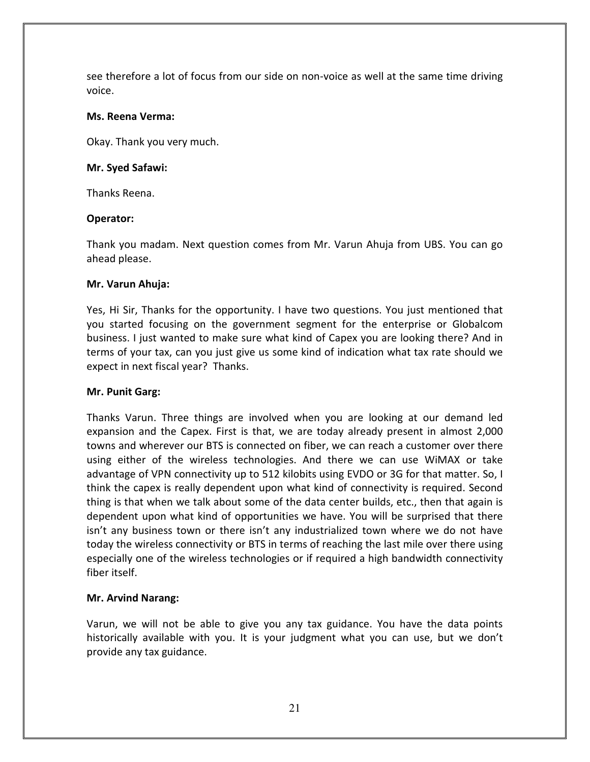see therefore a lot of focus from our side on non-voice as well at the same time driving voice.

### Ms. Reena Verma:

Okay. Thank you very much.

### Mr. Syed Safawi:

Thanks Reena.

### Operator:

Thank you madam. Next question comes from Mr. Varun Ahuja from UBS. You can go ahead please.

### Mr. Varun Ahuja:

Yes, Hi Sir, Thanks for the opportunity. I have two questions. You just mentioned that you started focusing on the government segment for the enterprise or Globalcom business. I just wanted to make sure what kind of Capex you are looking there? And in terms of your tax, can you just give us some kind of indication what tax rate should we expect in next fiscal year? Thanks.

### Mr. Punit Garg:

Thanks Varun. Three things are involved when you are looking at our demand led expansion and the Capex. First is that, we are today already present in almost 2,000 towns and wherever our BTS is connected on fiber, we can reach a customer over there using either of the wireless technologies. And there we can use WiMAX or take advantage of VPN connectivity up to 512 kilobits using EVDO or 3G for that matter. So, I think the capex is really dependent upon what kind of connectivity is required. Second thing is that when we talk about some of the data center builds, etc., then that again is dependent upon what kind of opportunities we have. You will be surprised that there isn't any business town or there isn't any industrialized town where we do not have today the wireless connectivity or BTS in terms of reaching the last mile over there using especially one of the wireless technologies or if required a high bandwidth connectivity fiber itself.

### Mr. Arvind Narang:

Varun, we will not be able to give you any tax guidance. You have the data points historically available with you. It is your judgment what you can use, but we don't provide any tax guidance.